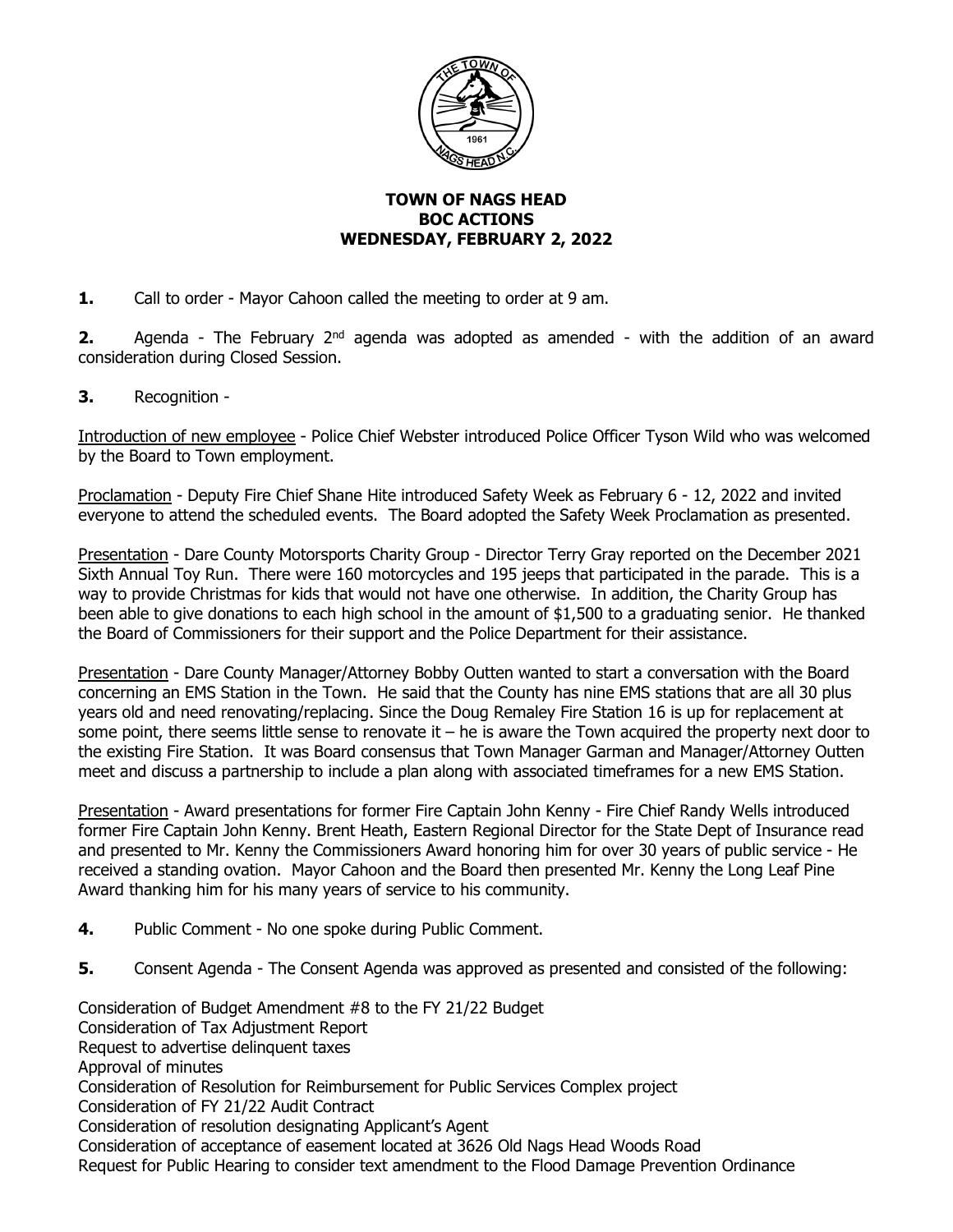

## **TOWN OF NAGS HEAD BOC ACTIONS WEDNESDAY, FEBRUARY 2, 2022**

**1.** Call to order - Mayor Cahoon called the meeting to order at 9 am.

**2.** Agenda - The February 2<sup>nd</sup> agenda was adopted as amended - with the addition of an award consideration during Closed Session.

**3.** Recognition -

Introduction of new employee - Police Chief Webster introduced Police Officer Tyson Wild who was welcomed by the Board to Town employment.

Proclamation - Deputy Fire Chief Shane Hite introduced Safety Week as February 6 - 12, 2022 and invited everyone to attend the scheduled events. The Board adopted the Safety Week Proclamation as presented.

Presentation - Dare County Motorsports Charity Group - Director Terry Gray reported on the December 2021 Sixth Annual Toy Run. There were 160 motorcycles and 195 jeeps that participated in the parade. This is a way to provide Christmas for kids that would not have one otherwise. In addition, the Charity Group has been able to give donations to each high school in the amount of \$1,500 to a graduating senior. He thanked the Board of Commissioners for their support and the Police Department for their assistance.

Presentation - Dare County Manager/Attorney Bobby Outten wanted to start a conversation with the Board concerning an EMS Station in the Town. He said that the County has nine EMS stations that are all 30 plus years old and need renovating/replacing. Since the Doug Remaley Fire Station 16 is up for replacement at some point, there seems little sense to renovate it – he is aware the Town acquired the property next door to the existing Fire Station. It was Board consensus that Town Manager Garman and Manager/Attorney Outten meet and discuss a partnership to include a plan along with associated timeframes for a new EMS Station.

Presentation - Award presentations for former Fire Captain John Kenny - Fire Chief Randy Wells introduced former Fire Captain John Kenny. Brent Heath, Eastern Regional Director for the State Dept of Insurance read and presented to Mr. Kenny the Commissioners Award honoring him for over 30 years of public service - He received a standing ovation. Mayor Cahoon and the Board then presented Mr. Kenny the Long Leaf Pine Award thanking him for his many years of service to his community.

- **4.** Public Comment No one spoke during Public Comment.
- **5.** Consent Agenda The Consent Agenda was approved as presented and consisted of the following:

Consideration of Budget Amendment #8 to the FY 21/22 Budget Consideration of Tax Adjustment Report Request to advertise delinquent taxes Approval of minutes Consideration of Resolution for Reimbursement for Public Services Complex project Consideration of FY 21/22 Audit Contract Consideration of resolution designating Applicant's Agent Consideration of acceptance of easement located at 3626 Old Nags Head Woods Road Request for Public Hearing to consider text amendment to the Flood Damage Prevention Ordinance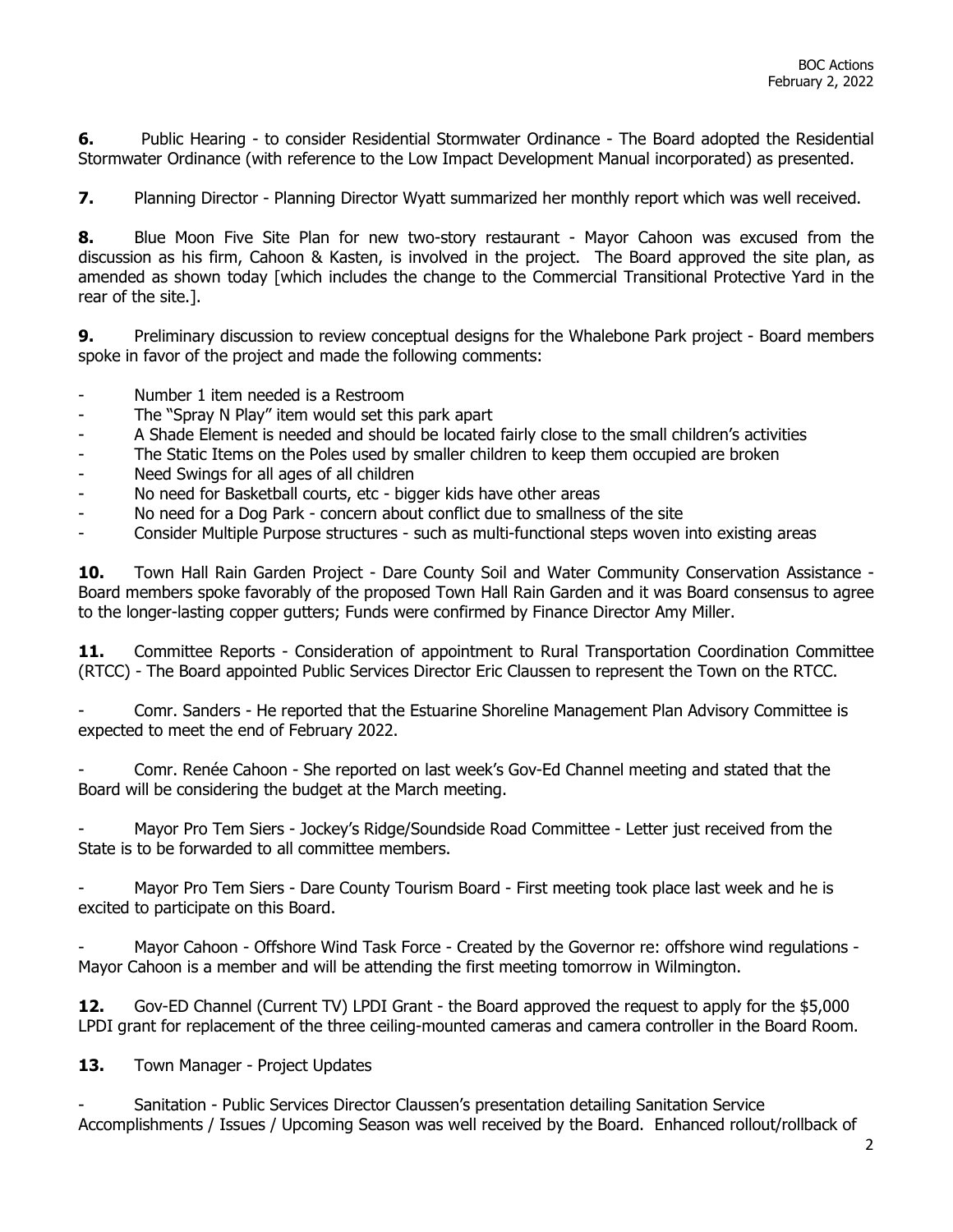**6.** Public Hearing - to consider Residential Stormwater Ordinance - The Board adopted the Residential Stormwater Ordinance (with reference to the Low Impact Development Manual incorporated) as presented.

**7.** Planning Director - Planning Director Wyatt summarized her monthly report which was well received.

**8.** Blue Moon Five Site Plan for new two-story restaurant - Mayor Cahoon was excused from the discussion as his firm, Cahoon & Kasten, is involved in the project. The Board approved the site plan, as amended as shown today [which includes the change to the Commercial Transitional Protective Yard in the rear of the site.].

**9.** Preliminary discussion to review conceptual designs for the Whalebone Park project - Board members spoke in favor of the project and made the following comments:

- Number 1 item needed is a Restroom
- The "Spray N Play" item would set this park apart
- A Shade Element is needed and should be located fairly close to the small children's activities
- The Static Items on the Poles used by smaller children to keep them occupied are broken
- Need Swings for all ages of all children
- No need for Basketball courts, etc bigger kids have other areas
- No need for a Dog Park concern about conflict due to smallness of the site
- Consider Multiple Purpose structures such as multi-functional steps woven into existing areas

10. Town Hall Rain Garden Project - Dare County Soil and Water Community Conservation Assistance -Board members spoke favorably of the proposed Town Hall Rain Garden and it was Board consensus to agree to the longer-lasting copper gutters; Funds were confirmed by Finance Director Amy Miller.

**11.** Committee Reports - Consideration of appointment to Rural Transportation Coordination Committee (RTCC) - The Board appointed Public Services Director Eric Claussen to represent the Town on the RTCC.

- Comr. Sanders - He reported that the Estuarine Shoreline Management Plan Advisory Committee is expected to meet the end of February 2022.

Comr. Renée Cahoon - She reported on last week's Gov-Ed Channel meeting and stated that the Board will be considering the budget at the March meeting.

- Mayor Pro Tem Siers - Jockey's Ridge/Soundside Road Committee - Letter just received from the State is to be forwarded to all committee members.

Mayor Pro Tem Siers - Dare County Tourism Board - First meeting took place last week and he is excited to participate on this Board.

- Mayor Cahoon - Offshore Wind Task Force - Created by the Governor re: offshore wind regulations - Mayor Cahoon is a member and will be attending the first meeting tomorrow in Wilmington.

**12.** Gov-ED Channel (Current TV) LPDI Grant - the Board approved the request to apply for the \$5,000 LPDI grant for replacement of the three ceiling-mounted cameras and camera controller in the Board Room.

13. Town Manager - Project Updates

Sanitation - Public Services Director Claussen's presentation detailing Sanitation Service Accomplishments / Issues / Upcoming Season was well received by the Board. Enhanced rollout/rollback of